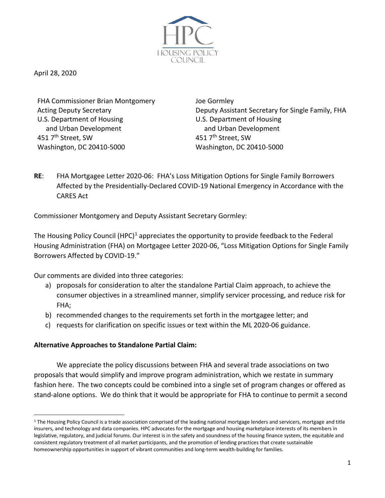

April 28, 2020

FHA Commissioner Brian Montgomery Joe Gormley U.S. Department of Housing and Urban Development 451 7<sup>th</sup> Street, SW 451 7<sup>th</sup> Street, SW Washington, DC 20410-5000 Washington, DC 20410-5000

Acting Deputy Secretary **Deputy Assistant Secretary for Single Family, FHA** U.S. Department of Housing and Urban Development

**RE**: FHA Mortgagee Letter 2020-06: FHA's Loss Mitigation Options for Single Family Borrowers Affected by the Presidentially-Declared COVID-19 National Emergency in Accordance with the CARES Act

Commissioner Montgomery and Deputy Assistant Secretary Gormley:

The Housing Policy Council  $(HPC)^1$  appreciates the opportunity to provide feedback to the Federal Housing Administration (FHA) on Mortgagee Letter 2020-06, "Loss Mitigation Options for Single Family Borrowers Affected by COVID-19."

Our comments are divided into three categories:

- a) proposals for consideration to alter the standalone Partial Claim approach, to achieve the consumer objectives in a streamlined manner, simplify servicer processing, and reduce risk for FHA;
- b) recommended changes to the requirements set forth in the mortgagee letter; and
- c) requests for clarification on specific issues or text within the ML 2020-06 guidance.

## **Alternative Approaches to Standalone Partial Claim:**

We appreciate the policy discussions between FHA and several trade associations on two proposals that would simplify and improve program administration, which we restate in summary fashion here. The two concepts could be combined into a single set of program changes or offered as stand-alone options. We do think that it would be appropriate for FHA to continue to permit a second

 $1$  The Housing Policy Council is a trade association comprised of the leading national mortgage lenders and servicers, mortgage and title insurers, and technology and data companies. HPC advocates for the mortgage and housing marketplace interests of its members in legislative, regulatory, and judicial forums. Our interest is in the safety and soundness of the housing finance system, the equitable and consistent regulatory treatment of all market participants, and the promotion of lending practices that create sustainable homeownership opportunities in support of vibrant communities and long-term wealth-building for families.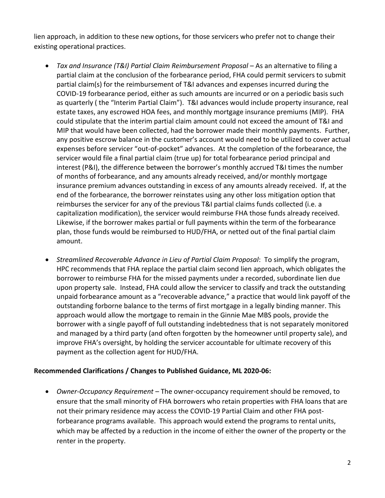lien approach, in addition to these new options, for those servicers who prefer not to change their existing operational practices.

- *Tax and Insurance (T&I) Partial Claim Reimbursement Proposal* As an alternative to filing a partial claim at the conclusion of the forbearance period, FHA could permit servicers to submit partial claim(s) for the reimbursement of T&I advances and expenses incurred during the COVID-19 forbearance period, either as such amounts are incurred or on a periodic basis such as quarterly ( the "Interim Partial Claim"). T&I advances would include property insurance, real estate taxes, any escrowed HOA fees, and monthly mortgage insurance premiums (MIP). FHA could stipulate that the interim partial claim amount could not exceed the amount of T&I and MIP that would have been collected, had the borrower made their monthly payments. Further, any positive escrow balance in the customer's account would need to be utilized to cover actual expenses before servicer "out-of-pocket" advances. At the completion of the forbearance, the servicer would file a final partial claim (true up) for total forbearance period principal and interest (P&I), the difference between the borrower's monthly accrued T&I times the number of months of forbearance, and any amounts already received, and/or monthly mortgage insurance premium advances outstanding in excess of any amounts already received. If, at the end of the forbearance, the borrower reinstates using any other loss mitigation option that reimburses the servicer for any of the previous T&I partial claims funds collected (i.e. a capitalization modification), the servicer would reimburse FHA those funds already received. Likewise, if the borrower makes partial or full payments within the term of the forbearance plan, those funds would be reimbursed to HUD/FHA, or netted out of the final partial claim amount.
- *Streamlined Recoverable Advance in Lieu of Partial Claim Proposal*: To simplify the program, HPC recommends that FHA replace the partial claim second lien approach, which obligates the borrower to reimburse FHA for the missed payments under a recorded, subordinate lien due upon property sale. Instead, FHA could allow the servicer to classify and track the outstanding unpaid forbearance amount as a "recoverable advance," a practice that would link payoff of the outstanding forborne balance to the terms of first mortgage in a legally binding manner. This approach would allow the mortgage to remain in the Ginnie Mae MBS pools, provide the borrower with a single payoff of full outstanding indebtedness that is not separately monitored and managed by a third party (and often forgotten by the homeowner until property sale), and improve FHA's oversight, by holding the servicer accountable for ultimate recovery of this payment as the collection agent for HUD/FHA.

## **Recommended Clarifications / Changes to Published Guidance, ML 2020-06:**

• *Owner-Occupancy Requirement* – The owner-occupancy requirement should be removed, to ensure that the small minority of FHA borrowers who retain properties with FHA loans that are not their primary residence may access the COVID-19 Partial Claim and other FHA postforbearance programs available. This approach would extend the programs to rental units, which may be affected by a reduction in the income of either the owner of the property or the renter in the property.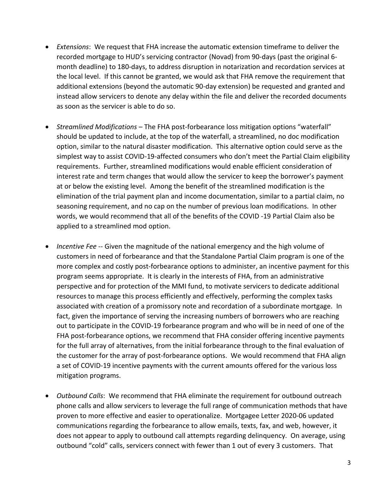- *Extensions*: We request that FHA increase the automatic extension timeframe to deliver the recorded mortgage to HUD's servicing contractor (Novad) from 90-days (past the original 6 month deadline) to 180-days, to address disruption in notarization and recordation services at the local level. If this cannot be granted, we would ask that FHA remove the requirement that additional extensions (beyond the automatic 90-day extension) be requested and granted and instead allow servicers to denote any delay within the file and deliver the recorded documents as soon as the servicer is able to do so.
- *Streamlined Modifications*  The FHA post-forbearance loss mitigation options "waterfall" should be updated to include, at the top of the waterfall, a streamlined, no doc modification option, similar to the natural disaster modification. This alternative option could serve as the simplest way to assist COVID-19-affected consumers who don't meet the Partial Claim eligibility requirements. Further, streamlined modifications would enable efficient consideration of interest rate and term changes that would allow the servicer to keep the borrower's payment at or below the existing level. Among the benefit of the streamlined modification is the elimination of the trial payment plan and income documentation, similar to a partial claim, no seasoning requirement, and no cap on the number of previous loan modifications. In other words, we would recommend that all of the benefits of the COVID -19 Partial Claim also be applied to a streamlined mod option.
- *Incentive Fee* -- Given the magnitude of the national emergency and the high volume of customers in need of forbearance and that the Standalone Partial Claim program is one of the more complex and costly post-forbearance options to administer, an incentive payment for this program seems appropriate. It is clearly in the interests of FHA, from an administrative perspective and for protection of the MMI fund, to motivate servicers to dedicate additional resources to manage this process efficiently and effectively, performing the complex tasks associated with creation of a promissory note and recordation of a subordinate mortgage. In fact, given the importance of serving the increasing numbers of borrowers who are reaching out to participate in the COVID-19 forbearance program and who will be in need of one of the FHA post-forbearance options, we recommend that FHA consider offering incentive payments for the full array of alternatives, from the initial forbearance through to the final evaluation of the customer for the array of post-forbearance options. We would recommend that FHA align a set of COVID-19 incentive payments with the current amounts offered for the various loss mitigation programs.
- *Outbound Calls*: We recommend that FHA eliminate the requirement for outbound outreach phone calls and allow servicers to leverage the full range of communication methods that have proven to more effective and easier to operationalize. Mortgagee Letter 2020-06 updated communications regarding the forbearance to allow emails, texts, fax, and web, however, it does not appear to apply to outbound call attempts regarding delinquency. On average, using outbound "cold" calls, servicers connect with fewer than 1 out of every 3 customers. That